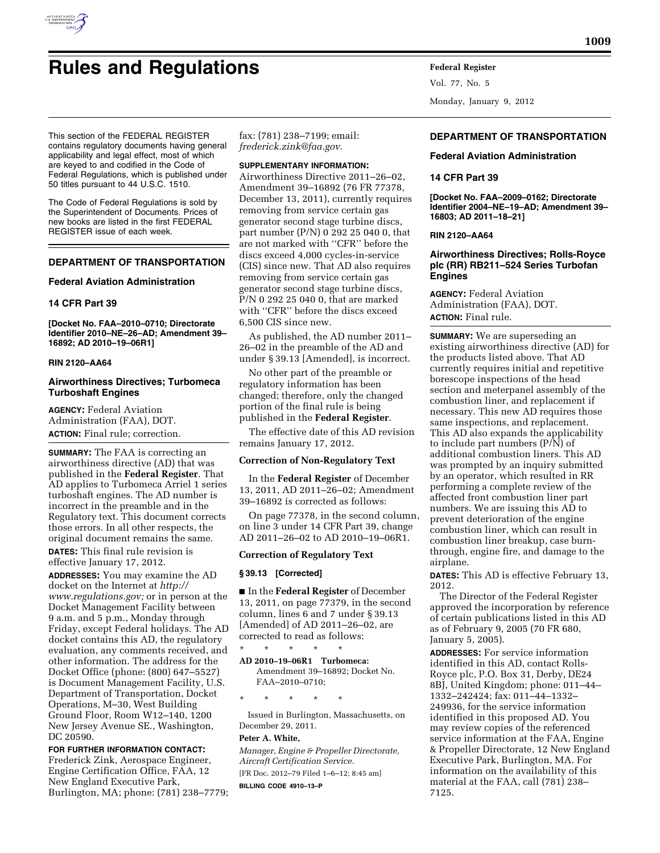

# **Rules and Regulations Federal Register**

This section of the FEDERAL REGISTER contains regulatory documents having general applicability and legal effect, most of which are keyed to and codified in the Code of Federal Regulations, which is published under 50 titles pursuant to 44 U.S.C. 1510.

The Code of Federal Regulations is sold by the Superintendent of Documents. Prices of new books are listed in the first FEDERAL REGISTER issue of each week.

# **DEPARTMENT OF TRANSPORTATION**

#### **Federal Aviation Administration**

## **14 CFR Part 39**

**[Docket No. FAA–2010–0710; Directorate Identifier 2010–NE–26–AD; Amendment 39– 16892; AD 2010–19–06R1]** 

#### **RIN 2120–AA64**

## **Airworthiness Directives; Turbomeca Turboshaft Engines**

**AGENCY:** Federal Aviation Administration (FAA), DOT. **ACTION:** Final rule; correction.

**SUMMARY:** The FAA is correcting an airworthiness directive (AD) that was published in the **Federal Register**. That AD applies to Turbomeca Arriel 1 series turboshaft engines. The AD number is incorrect in the preamble and in the Regulatory text. This document corrects those errors. In all other respects, the original document remains the same.

**DATES:** This final rule revision is effective January 17, 2012.

**ADDRESSES:** You may examine the AD docket on the Internet at *[http://](http://www.regulations.gov)  [www.regulations.gov;](http://www.regulations.gov)* or in person at the Docket Management Facility between 9 a.m. and 5 p.m., Monday through Friday, except Federal holidays. The AD docket contains this AD, the regulatory evaluation, any comments received, and other information. The address for the Docket Office (phone: (800) 647–5527) is Document Management Facility, U.S. Department of Transportation, Docket Operations, M–30, West Building Ground Floor, Room W12–140, 1200 New Jersey Avenue SE., Washington, DC 20590.

**FOR FURTHER INFORMATION CONTACT:**  Frederick Zink, Aerospace Engineer, Engine Certification Office, FAA, 12 New England Executive Park, Burlington, MA; phone: (781) 238–7779;

fax: (781) 238–7199; email: *[frederick.zink@faa.gov](mailto:frederick.zink@faa.gov)*.

## **SUPPLEMENTARY INFORMATION:**

Airworthiness Directive 2011–26–02, Amendment 39–16892 (76 FR 77378, December 13, 2011), currently requires removing from service certain gas generator second stage turbine discs, part number (P/N) 0 292 25 040 0, that are not marked with ''CFR'' before the discs exceed 4,000 cycles-in-service (CIS) since new. That AD also requires removing from service certain gas generator second stage turbine discs, P/N 0 292 25 040 0, that are marked with ''CFR'' before the discs exceed 6,500 CIS since new.

As published, the AD number 2011– 26–02 in the preamble of the AD and under § 39.13 [Amended], is incorrect.

No other part of the preamble or regulatory information has been changed; therefore, only the changed portion of the final rule is being published in the **Federal Register**.

The effective date of this AD revision remains January 17, 2012.

#### **Correction of Non-Regulatory Text**

In the **Federal Register** of December 13, 2011, AD 2011–26–02; Amendment 39–16892 is corrected as follows:

On page 77378, in the second column, on line 3 under 14 CFR Part 39, change AD 2011–26–02 to AD 2010–19–06R1.

## **Correction of Regulatory Text**

## **§ 39.13 [Corrected]**

■ In the **Federal Register** of December 13, 2011, on page 77379, in the second column, lines 6 and 7 under § 39.13 [Amended] of AD 2011–26–02, are corrected to read as follows:

\* \* \* \* \*

**AD 2010–19–06R1 Turbomeca:**  Amendment 39–16892; Docket No. FAA–2010–0710;

\* \* \* \* \*

Issued in Burlington, Massachusetts, on December 29, 2011.

# **Peter A. White,**

*Manager, Engine & Propeller Directorate, Aircraft Certification Service.*  [FR Doc. 2012–79 Filed 1–6–12; 8:45 am] **BILLING CODE 4910–13–P** 

Vol. 77, No. 5 Monday, January 9, 2012

# **DEPARTMENT OF TRANSPORTATION**

**Federal Aviation Administration** 

## **14 CFR Part 39**

**[Docket No. FAA–2009–0162; Directorate Identifier 2004–NE–19–AD; Amendment 39– 16803; AD 2011–18–21]** 

**RIN 2120–AA64** 

# **Airworthiness Directives; Rolls-Royce plc (RR) RB211–524 Series Turbofan Engines**

**AGENCY:** Federal Aviation Administration (FAA), DOT. **ACTION:** Final rule.

**SUMMARY:** We are superseding an existing airworthiness directive (AD) for the products listed above. That AD currently requires initial and repetitive borescope inspections of the head section and meterpanel assembly of the combustion liner, and replacement if necessary. This new AD requires those same inspections, and replacement. This AD also expands the applicability to include part numbers (P/N) of additional combustion liners. This AD was prompted by an inquiry submitted by an operator, which resulted in RR performing a complete review of the affected front combustion liner part numbers. We are issuing this AD to prevent deterioration of the engine combustion liner, which can result in combustion liner breakup, case burnthrough, engine fire, and damage to the airplane.

**DATES:** This AD is effective February 13, 2012.

The Director of the Federal Register approved the incorporation by reference of certain publications listed in this AD as of February 9, 2005 (70 FR 680, January 5, 2005).

**ADDRESSES:** For service information identified in this AD, contact Rolls-Royce plc, P.O. Box 31, Derby, DE24 8BJ, United Kingdom; phone: 011–44– 1332–242424; fax: 011–44–1332– 249936, for the service information identified in this proposed AD. You may review copies of the referenced service information at the FAA, Engine & Propeller Directorate, 12 New England Executive Park, Burlington, MA. For information on the availability of this material at the FAA, call (781) 238– 7125.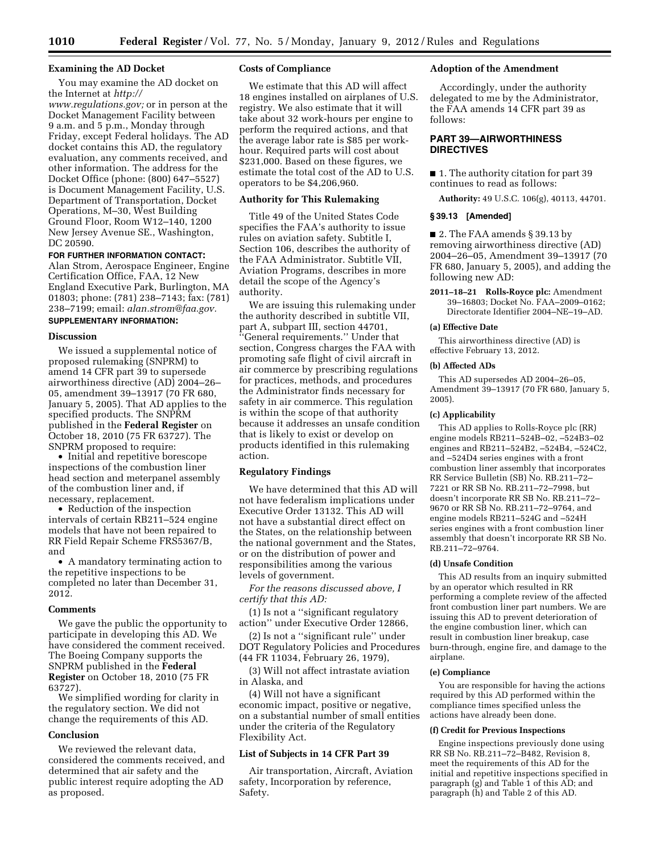# **Examining the AD Docket**

You may examine the AD docket on the Internet at *[http://](http://www.regulations.gov)* 

*[www.regulations.gov;](http://www.regulations.gov)* or in person at the Docket Management Facility between 9 a.m. and 5 p.m., Monday through Friday, except Federal holidays. The AD docket contains this AD, the regulatory evaluation, any comments received, and other information. The address for the Docket Office (phone: (800) 647–5527) is Document Management Facility, U.S. Department of Transportation, Docket Operations, M–30, West Building Ground Floor, Room W12–140, 1200 New Jersey Avenue SE., Washington, DC 20590.

# **FOR FURTHER INFORMATION CONTACT:**

Alan Strom, Aerospace Engineer, Engine Certification Office, FAA, 12 New England Executive Park, Burlington, MA 01803; phone: (781) 238–7143; fax: (781) 238–7199; email: *[alan.strom@faa.gov.](mailto:alan.strom@faa.gov)*  **SUPPLEMENTARY INFORMATION:** 

#### **Discussion**

We issued a supplemental notice of proposed rulemaking (SNPRM) to amend 14 CFR part 39 to supersede airworthiness directive (AD) 2004–26– 05, amendment 39–13917 (70 FR 680, January 5, 2005). That AD applies to the specified products. The SNPRM published in the **Federal Register** on October 18, 2010 (75 FR 63727). The SNPRM proposed to require:

• Initial and repetitive borescope inspections of the combustion liner head section and meterpanel assembly of the combustion liner and, if necessary, replacement.

• Reduction of the inspection intervals of certain RB211–524 engine models that have not been repaired to RR Field Repair Scheme FRS5367/B, and

• A mandatory terminating action to the repetitive inspections to be completed no later than December 31, 2012.

#### **Comments**

We gave the public the opportunity to participate in developing this AD. We have considered the comment received. The Boeing Company supports the SNPRM published in the **Federal Register** on October 18, 2010 (75 FR 63727).

We simplified wording for clarity in the regulatory section. We did not change the requirements of this AD.

# **Conclusion**

We reviewed the relevant data, considered the comments received, and determined that air safety and the public interest require adopting the AD as proposed.

# **Costs of Compliance**

We estimate that this AD will affect 18 engines installed on airplanes of U.S. registry. We also estimate that it will take about 32 work-hours per engine to perform the required actions, and that the average labor rate is \$85 per workhour. Required parts will cost about \$231,000. Based on these figures, we estimate the total cost of the AD to U.S. operators to be \$4,206,960.

# **Authority for This Rulemaking**

Title 49 of the United States Code specifies the FAA's authority to issue rules on aviation safety. Subtitle I, Section 106, describes the authority of the FAA Administrator. Subtitle VII, Aviation Programs, describes in more detail the scope of the Agency's authority.

We are issuing this rulemaking under the authority described in subtitle VII, part A, subpart III, section 44701, ''General requirements.'' Under that section, Congress charges the FAA with promoting safe flight of civil aircraft in air commerce by prescribing regulations for practices, methods, and procedures the Administrator finds necessary for safety in air commerce. This regulation is within the scope of that authority because it addresses an unsafe condition that is likely to exist or develop on products identified in this rulemaking action.

## **Regulatory Findings**

We have determined that this AD will not have federalism implications under Executive Order 13132. This AD will not have a substantial direct effect on the States, on the relationship between the national government and the States, or on the distribution of power and responsibilities among the various levels of government.

*For the reasons discussed above, I certify that this AD:* 

(1) Is not a ''significant regulatory action'' under Executive Order 12866,

(2) Is not a ''significant rule'' under DOT Regulatory Policies and Procedures (44 FR 11034, February 26, 1979),

(3) Will not affect intrastate aviation in Alaska, and

(4) Will not have a significant economic impact, positive or negative, on a substantial number of small entities under the criteria of the Regulatory Flexibility Act.

#### **List of Subjects in 14 CFR Part 39**

Air transportation, Aircraft, Aviation safety, Incorporation by reference, Safety.

## **Adoption of the Amendment**

Accordingly, under the authority delegated to me by the Administrator, the FAA amends 14 CFR part 39 as follows:

# **PART 39—AIRWORTHINESS DIRECTIVES**

■ 1. The authority citation for part 39 continues to read as follows:

**Authority:** 49 U.S.C. 106(g), 40113, 44701.

#### **§ 39.13 [Amended]**

■ 2. The FAA amends § 39.13 by removing airworthiness directive (AD) 2004–26–05, Amendment 39–13917 (70 FR 680, January 5, 2005), and adding the following new AD:

**2011–18–21 Rolls-Royce plc:** Amendment 39–16803; Docket No. FAA–2009–0162; Directorate Identifier 2004–NE–19–AD.

## **(a) Effective Date**

This airworthiness directive (AD) is effective February 13, 2012.

#### **(b) Affected ADs**

This AD supersedes AD 2004–26–05, Amendment 39–13917 (70 FR 680, January 5, 2005).

#### **(c) Applicability**

This AD applies to Rolls-Royce plc (RR) engine models RB211–524B–02, –524B3–02 engines and RB211–524B2, –524B4, –524C2, and –524D4 series engines with a front combustion liner assembly that incorporates RR Service Bulletin (SB) No. RB.211–72– 7221 or RR SB No. RB.211–72–7998, but doesn't incorporate RR SB No. RB.211–72– 9670 or RR SB No. RB.211–72–9764, and engine models RB211–524G and –524H series engines with a front combustion liner assembly that doesn't incorporate RR SB No. RB.211–72–9764.

## **(d) Unsafe Condition**

This AD results from an inquiry submitted by an operator which resulted in RR performing a complete review of the affected front combustion liner part numbers. We are issuing this AD to prevent deterioration of the engine combustion liner, which can result in combustion liner breakup, case burn-through, engine fire, and damage to the airplane.

#### **(e) Compliance**

You are responsible for having the actions required by this AD performed within the compliance times specified unless the actions have already been done.

#### **(f) Credit for Previous Inspections**

Engine inspections previously done using RR SB No. RB.211–72–B482, Revision 8, meet the requirements of this AD for the initial and repetitive inspections specified in paragraph (g) and Table 1 of this AD; and paragraph (h) and Table 2 of this AD.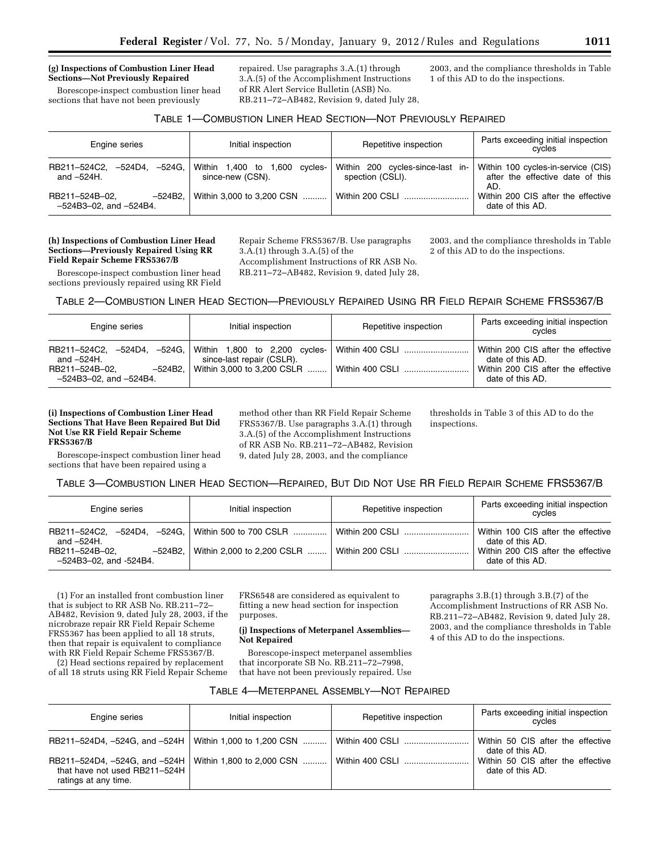#### **(g) Inspections of Combustion Liner Head Sections—Not Previously Repaired**

Borescope-inspect combustion liner head sections that have not been previously

repaired. Use paragraphs 3.A.(1) through 3.A.(5) of the Accomplishment Instructions of RR Alert Service Bulletin (ASB) No. RB.211–72–AB482, Revision 9, dated July 28, 2003, and the compliance thresholds in Table 1 of this AD to do the inspections.

# TABLE 1—COMBUSTION LINER HEAD SECTION—NOT PREVIOUSLY REPAIRED

| Engine series                                             | Initial inspection                                | Repetitive inspection                                | Parts exceeding initial inspection<br>cycles                                  |
|-----------------------------------------------------------|---------------------------------------------------|------------------------------------------------------|-------------------------------------------------------------------------------|
| RB211-524C2,<br>–524D4. –524G. I<br>and $-524H$ .         | Within 1,400 to 1,600 cycles-<br>since-new (CSN). | Within 200 cycles-since-last in-<br>spection (CSLI). | Within 100 cycles-in-service (CIS)<br>after the effective date of this<br>AD. |
| RB211-524B-02.<br>-524B2.<br>$-524B3-02$ , and $-524B4$ . | Within 3,000 to 3,200 CSN                         | Within 200 CSI L                                     | Within 200 CIS after the effective<br>date of this AD.                        |

#### **(h) Inspections of Combustion Liner Head Sections—Previously Repaired Using RR Field Repair Scheme FRS5367/B**

Borescope-inspect combustion liner head sections previously repaired using RR Field Repair Scheme FRS5367/B. Use paragraphs 3.A.(1) through 3.A.(5) of the Accomplishment Instructions of RR ASB No.

RB.211–72–AB482, Revision 9, dated July 28,

2003, and the compliance thresholds in Table 2 of this AD to do the inspections.

TABLE 2—COMBUSTION LINER HEAD SECTION—PREVIOUSLY REPAIRED USING RR FIELD REPAIR SCHEME FRS5367/B

| Engine series                                                                                                             | Initial inspection                                                | Repetitive inspection              | Parts exceeding initial inspection<br>cycles                                                                     |
|---------------------------------------------------------------------------------------------------------------------------|-------------------------------------------------------------------|------------------------------------|------------------------------------------------------------------------------------------------------------------|
| RB211-524C2, -524D4, -524G, Within 1,800 to 2,200 cycles-<br>and –524H.<br>RB211-524B-02.<br>$-524B3-02$ , and $-524B4$ . | since-last repair (CSLR).<br>$-524B2.$ Within 3,000 to 3,200 CSLR | Within 400 CSLI<br>Within 400 CSLI | Within 200 CIS after the effective<br>date of this AD.<br>Within 200 CIS after the effective<br>date of this AD. |

## **(i) Inspections of Combustion Liner Head Sections That Have Been Repaired But Did Not Use RR Field Repair Scheme FRS5367/B**

Borescope-inspect combustion liner head sections that have been repaired using a

method other than RR Field Repair Scheme FRS5367/B. Use paragraphs 3.A.(1) through 3.A.(5) of the Accomplishment Instructions of RR ASB No. RB.211–72–AB482, Revision 9, dated July 28, 2003, and the compliance

thresholds in Table 3 of this AD to do the inspections.

# TABLE 3—COMBUSTION LINER HEAD SECTION—REPAIRED, BUT DID NOT USE RR FIELD REPAIR SCHEME FRS5367/B

| Engine series                                                                                                   | Initial inspection                    | Repetitive inspection | Parts exceeding initial inspection<br>cycles                                                                     |
|-----------------------------------------------------------------------------------------------------------------|---------------------------------------|-----------------------|------------------------------------------------------------------------------------------------------------------|
| RB211-524C2, -524D4, -524G, Within 500 to 700 CSLR<br>and $-524H$ .<br>RB211-524B-02.<br>-524B3-02, and -524B4. | $-524B2$ , Within 2,000 to 2,200 CSLR | Within 200 CSLI       | Within 100 CIS after the effective<br>date of this AD.<br>Within 200 CIS after the effective<br>date of this AD. |

(1) For an installed front combustion liner that is subject to RR ASB No. RB.211–72– AB482, Revision 9, dated July 28, 2003, if the nicrobraze repair RR Field Repair Scheme FRS5367 has been applied to all 18 struts, then that repair is equivalent to compliance with RR Field Repair Scheme FRS5367/B.

(2) Head sections repaired by replacement of all 18 struts using RR Field Repair Scheme

FRS6548 are considered as equivalent to fitting a new head section for inspection purposes.

#### **(j) Inspections of Meterpanel Assemblies— Not Repaired**

Borescope-inspect meterpanel assemblies that incorporate SB No. RB.211–72–7998, that have not been previously repaired. Use

paragraphs 3.B.(1) through 3.B.(7) of the Accomplishment Instructions of RR ASB No. RB.211–72–AB482, Revision 9, dated July 28, 2003, and the compliance thresholds in Table 4 of this AD to do the inspections.

| TABLE 4-METERPANEL ASSEMBLY-NOT REPAIRED |  |
|------------------------------------------|--|
|------------------------------------------|--|

| Engine series                                                                                                      | Initial inspection | Repetitive inspection | Parts exceeding initial inspection<br>cycles          |
|--------------------------------------------------------------------------------------------------------------------|--------------------|-----------------------|-------------------------------------------------------|
| RB211-524D4, -524G, and -524H   Within 1,000 to 1,200 CSN                                                          |                    |                       | Within 50 CIS after the effective<br>date of this AD. |
| RB211-524D4, -524G, and -524H   Within 1,800 to 2,000 CSN<br>that have not used RB211-524H<br>ratings at any time. |                    | Within 400 CSLI       | Within 50 CIS after the effective<br>date of this AD. |